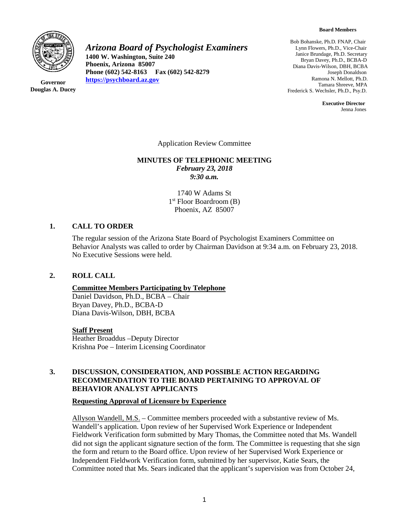

**Governor Douglas A. Ducey** *Arizona Board of Psychologist Examiners*

**1400 W. Washington, Suite 240 Phoenix, Arizona 85007 Phone (602) 542-8163 Fax (602) 542-8279 [https://psychboard.az.gov](https://psychboard.az.gov/)**

Bob Bohanske, Ph.D. FNAP, Chair Lynn Flowers, Ph.D., Vice-Chair Janice Brundage, Ph.D. Secretary Bryan Davey, Ph.D., BCBA-D Diana Davis-Wilson, DBH, BCBA Joseph Donaldson Ramona N. Mellott, Ph.D. Tamara Shreeve, MPA Frederick S. Wechsler, Ph.D., Psy.D.

> **Executive Director** Jenna Jones

Application Review Committee

#### **MINUTES OF TELEPHONIC MEETING** *February 23, 2018 9:30 a.m.*

1740 W Adams St 1st Floor Boardroom (B) Phoenix, AZ 85007

#### **1. CALL TO ORDER**

The regular session of the Arizona State Board of Psychologist Examiners Committee on Behavior Analysts was called to order by Chairman Davidson at 9:34 a.m. on February 23, 2018. No Executive Sessions were held.

#### **2. ROLL CALL**

## **Committee Members Participating by Telephone**

Daniel Davidson, Ph.D., BCBA – Chair Bryan Davey, Ph.D., BCBA-D Diana Davis-Wilson, DBH, BCBA

#### **Staff Present**

Heather Broaddus –Deputy Director Krishna Poe – Interim Licensing Coordinator

# **3. DISCUSSION, CONSIDERATION, AND POSSIBLE ACTION REGARDING RECOMMENDATION TO THE BOARD PERTAINING TO APPROVAL OF BEHAVIOR ANALYST APPLICANTS**

#### **Requesting Approval of Licensure by Experience**

Allyson Wandell, M.S. – Committee members proceeded with a substantive review of Ms. Wandell's application. Upon review of her Supervised Work Experience or Independent Fieldwork Verification form submitted by Mary Thomas, the Committee noted that Ms. Wandell did not sign the applicant signature section of the form. The Committee is requesting that she sign the form and return to the Board office. Upon review of her Supervised Work Experience or Independent Fieldwork Verification form, submitted by her supervisor, Katie Sears, the Committee noted that Ms. Sears indicated that the applicant's supervision was from October 24,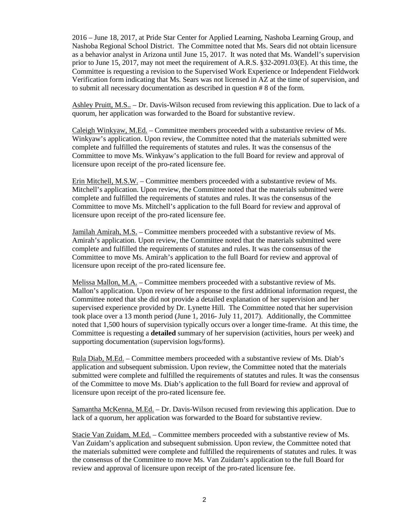2016 – June 18, 2017, at Pride Star Center for Applied Learning, Nashoba Learning Group, and Nashoba Regional School District. The Committee noted that Ms. Sears did not obtain licensure as a behavior analyst in Arizona until June 15, 2017. It was noted that Ms. Wandell's supervision prior to June 15, 2017, may not meet the requirement of A.R.S. §32-2091.03(E). At this time, the Committee is requesting a revision to the Supervised Work Experience or Independent Fieldwork Verification form indicating that Ms. Sears was not licensed in AZ at the time of supervision, and to submit all necessary documentation as described in question # 8 of the form.

Ashley Pruitt, M.S.. – Dr. Davis-Wilson recused from reviewing this application. Due to lack of a quorum, her application was forwarded to the Board for substantive review.

Caleigh Winkyaw, M.Ed. – Committee members proceeded with a substantive review of Ms. Winkyaw's application. Upon review, the Committee noted that the materials submitted were complete and fulfilled the requirements of statutes and rules. It was the consensus of the Committee to move Ms. Winkyaw's application to the full Board for review and approval of licensure upon receipt of the pro-rated licensure fee.

Erin Mitchell, M.S.W. – Committee members proceeded with a substantive review of Ms. Mitchell's application. Upon review, the Committee noted that the materials submitted were complete and fulfilled the requirements of statutes and rules. It was the consensus of the Committee to move Ms. Mitchell's application to the full Board for review and approval of licensure upon receipt of the pro-rated licensure fee.

Jamilah Amirah, M.S. – Committee members proceeded with a substantive review of Ms. Amirah's application. Upon review, the Committee noted that the materials submitted were complete and fulfilled the requirements of statutes and rules. It was the consensus of the Committee to move Ms. Amirah's application to the full Board for review and approval of licensure upon receipt of the pro-rated licensure fee.

Melissa Mallon, M.A. – Committee members proceeded with a substantive review of Ms. Mallon's application. Upon review of her response to the first additional information request, the Committee noted that she did not provide a detailed explanation of her supervision and her supervised experience provided by Dr. Lynette Hill. The Committee noted that her supervision took place over a 13 month period (June 1, 2016- July 11, 2017). Additionally, the Committee noted that 1,500 hours of supervision typically occurs over a longer time-frame. At this time, the Committee is requesting a **detailed** summary of her supervision (activities, hours per week) and supporting documentation (supervision logs/forms).

Rula Diab, M.Ed. – Committee members proceeded with a substantive review of Ms. Diab's application and subsequent submission. Upon review, the Committee noted that the materials submitted were complete and fulfilled the requirements of statutes and rules. It was the consensus of the Committee to move Ms. Diab's application to the full Board for review and approval of licensure upon receipt of the pro-rated licensure fee.

Samantha McKenna, M.Ed. – Dr. Davis-Wilson recused from reviewing this application. Due to lack of a quorum, her application was forwarded to the Board for substantive review.

Stacie Van Zuidam, M.Ed. – Committee members proceeded with a substantive review of Ms. Van Zuidam's application and subsequent submission. Upon review, the Committee noted that the materials submitted were complete and fulfilled the requirements of statutes and rules. It was the consensus of the Committee to move Ms. Van Zuidam's application to the full Board for review and approval of licensure upon receipt of the pro-rated licensure fee.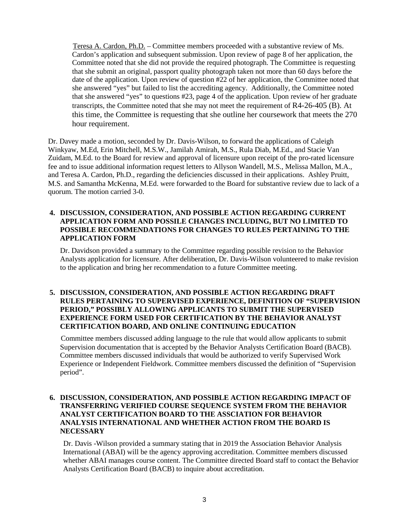Teresa A. Cardon, Ph.D. – Committee members proceeded with a substantive review of Ms. Cardon's application and subsequent submission. Upon review of page 8 of her application, the Committee noted that she did not provide the required photograph. The Committee is requesting that she submit an original, passport quality photograph taken not more than 60 days before the date of the application. Upon review of question #22 of her application, the Committee noted that she answered "yes" but failed to list the accrediting agency. Additionally, the Committee noted that she answered "yes" to questions #23, page 4 of the application. Upon review of her graduate transcripts, the Committee noted that she may not meet the requirement of R4-26-405 (B). At this time, the Committee is requesting that she outline her coursework that meets the 270 hour requirement.

Dr. Davey made a motion, seconded by Dr. Davis-Wilson, to forward the applications of Caleigh Winkyaw, M.Ed, Erin Mitchell, M.S.W., Jamilah Amirah, M.S., Rula Diab, M.Ed., and Stacie Van Zuidam, M.Ed. to the Board for review and approval of licensure upon receipt of the pro-rated licensure fee and to issue additional information request letters to Allyson Wandell, M.S., Melissa Mallon, M.A., and Teresa A. Cardon, Ph.D., regarding the deficiencies discussed in their applications. Ashley Pruitt, M.S. and Samantha McKenna, M.Ed. were forwarded to the Board for substantive review due to lack of a quorum. The motion carried 3-0.

### **4. DISCUSSION, CONSIDERATION, AND POSSIBLE ACTION REGARDING CURRENT APPLICATION FORM AND POSSILE CHANGES INCLUDING, BUT NO LIMITED TO POSSIBLE RECOMMENDATIONS FOR CHANGES TO RULES PERTAINING TO THE APPLICATION FORM**

Dr. Davidson provided a summary to the Committee regarding possible revision to the Behavior Analysts application for licensure. After deliberation, Dr. Davis-Wilson volunteered to make revision to the application and bring her recommendation to a future Committee meeting.

## **5. DISCUSSION, CONSIDERATION, AND POSSIBLE ACTION REGARDING DRAFT RULES PERTAINING TO SUPERVISED EXPERIENCE, DEFINITION OF "SUPERVISION PERIOD," POSSIBLY ALLOWING APPLICANTS TO SUBMIT THE SUPERVISED EXPERIENCE FORM USED FOR CERTIFICATION BY THE BEHAVIOR ANALYST CERTIFICATION BOARD, AND ONLINE CONTINUING EDUCATION**

 Committee members discussed adding language to the rule that would allow applicants to submit Supervision documentation that is accepted by the Behavior Analysts Certification Board (BACB). Committee members discussed individuals that would be authorized to verify Supervised Work Experience or Independent Fieldwork. Committee members discussed the definition of "Supervision period".

# **6. DISCUSSION, CONSIDERATION, AND POSSIBLE ACTION REGARDING IMPACT OF TRANSFERRING VERIFIED COURSE SEQUENCE SYSTEM FROM THE BEHAVIOR ANALYST CERTIFICATION BOARD TO THE ASSCIATION FOR BEHAVIOR ANALYSIS INTERNATIONAL AND WHETHER ACTION FROM THE BOARD IS NECESSARY**

Dr. Davis -Wilson provided a summary stating that in 2019 the Association Behavior Analysis International (ABAI) will be the agency approving accreditation. Committee members discussed whether ABAI manages course content. The Committee directed Board staff to contact the Behavior Analysts Certification Board (BACB) to inquire about accreditation.